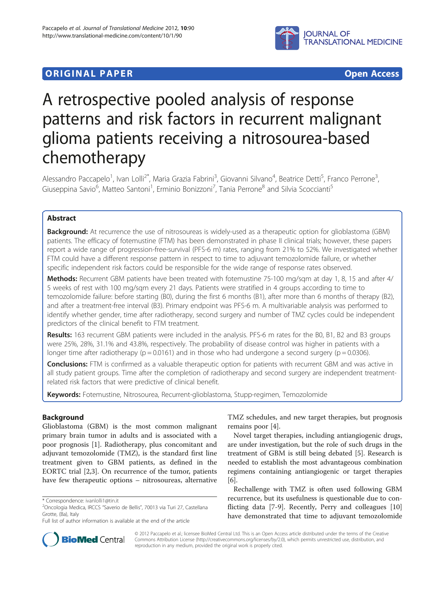

# **ORIGINAL PAPER CONSERVATION CONSERVATION CONSERVATION CONSERVATION CONSERVATION CONSERVATION CONSERVATION**

# A retrospective pooled analysis of response patterns and risk factors in recurrent malignant glioma patients receiving a nitrosourea-based chemotherapy

Alessandro Paccapelo<sup>1</sup>, Ivan Lolli<sup>2\*</sup>, Maria Grazia Fabrini<sup>3</sup>, Giovanni Silvano<sup>4</sup>, Beatrice Detti<sup>5</sup>, Franco Perrone<sup>3</sup> , Giuseppina Savio<sup>6</sup>, Matteo Santoni<sup>1</sup>, Erminio Bonizzoni<sup>7</sup>, Tania Perrone<sup>8</sup> and Silvia Scoccianti<sup>5</sup>

# Abstract

Background: At recurrence the use of nitrosoureas is widely-used as a therapeutic option for glioblastoma (GBM) patients. The efficacy of fotemustine (FTM) has been demonstrated in phase II clinical trials; however, these papers report a wide range of progression-free-survival (PFS-6 m) rates, ranging from 21% to 52%. We investigated whether FTM could have a different response pattern in respect to time to adjuvant temozolomide failure, or whether specific independent risk factors could be responsible for the wide range of response rates observed.

Methods: Recurrent GBM patients have been treated with fotemustine 75-100 mg/sqm at day 1, 8, 15 and after 4/ 5 weeks of rest with 100 mg/sqm every 21 days. Patients were stratified in 4 groups according to time to temozolomide failure: before starting (B0), during the first 6 months (B1), after more than 6 months of therapy (B2), and after a treatment-free interval (B3). Primary endpoint was PFS-6 m. A multivariable analysis was performed to identify whether gender, time after radiotherapy, second surgery and number of TMZ cycles could be independent predictors of the clinical benefit to FTM treatment.

Results: 163 recurrent GBM patients were included in the analysis. PFS-6 m rates for the B0, B1, B2 and B3 groups were 25%, 28%, 31.1% and 43.8%, respectively. The probability of disease control was higher in patients with a longer time after radiotherapy ( $p = 0.0161$ ) and in those who had undergone a second surgery ( $p = 0.0306$ ).

**Conclusions:** FTM is confirmed as a valuable therapeutic option for patients with recurrent GBM and was active in all study patient groups. Time after the completion of radiotherapy and second surgery are independent treatmentrelated risk factors that were predictive of clinical benefit.

Keywords: Fotemustine, Nitrosourea, Recurrent-glioblastoma, Stupp-regimen, Temozolomide

# Background

Glioblastoma (GBM) is the most common malignant primary brain tumor in adults and is associated with a poor prognosis [[1\]](#page-6-0). Radiotherapy, plus concomitant and adjuvant temozolomide (TMZ), is the standard first line treatment given to GBM patients, as defined in the EORTC trial [\[2,3](#page-6-0)]. On recurrence of the tumor, patients have few therapeutic options – nitrosoureas, alternative

TMZ schedules, and new target therapies, but prognosis remains poor [\[4](#page-6-0)].

Novel target therapies, including antiangiogenic drugs, are under investigation, but the role of such drugs in the treatment of GBM is still being debated [\[5](#page-6-0)]. Research is needed to establish the most advantageous combination regimens containing antiangiogenic or target therapies [[6\]](#page-6-0).

Rechallenge with TMZ is often used following GBM recurrence, but its usefulness is questionable due to conflicting data [\[7](#page-6-0)-[9\]](#page-6-0). Recently, Perry and colleagues [[10](#page-6-0)] have demonstrated that time to adjuvant temozolomide



© 2012 Paccapelo et al.; licensee BioMed Central Ltd. This is an Open Access article distributed under the terms of the Creative Commons Attribution License [\(http://creativecommons.org/licenses/by/2.0\)](http://creativecommons.org/licenses/by/2.0), which permits unrestricted use, distribution, and reproduction in any medium, provided the original work is properly cited.

<sup>\*</sup> Correspondence: [ivanlolli1@tin.it](mailto:ivanlolli1@tin.it) <sup>2</sup>

<sup>&</sup>lt;sup>2</sup>Oncologia Medica, IRCCS "Saverio de Bellis", 70013 via Turi 27, Castellana Grotte, (Ba), Italy

Full list of author information is available at the end of the article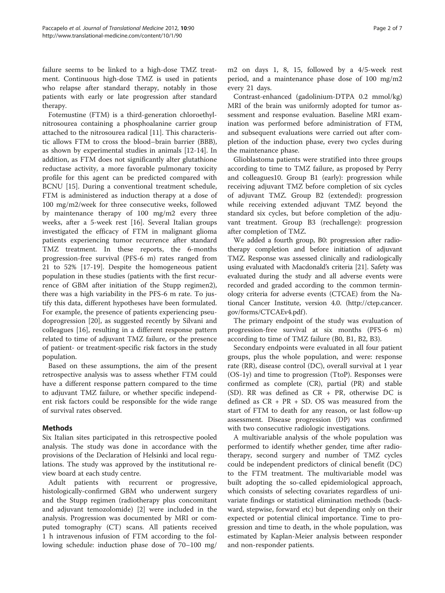failure seems to be linked to a high-dose TMZ treatment. Continuous high-dose TMZ is used in patients who relapse after standard therapy, notably in those patients with early or late progression after standard therapy.

Fotemustine (FTM) is a third-generation chloroethylnitrosourea containing a phosphoalanine carrier group attached to the nitrosourea radical [[11\]](#page-6-0). This characteristic allows FTM to cross the blood–brain barrier (BBB), as shown by experimental studies in animals [[12-14\]](#page-6-0). In addition, as FTM does not significantly alter glutathione reductase activity, a more favorable pulmonary toxicity profile for this agent can be predicted compared with BCNU [\[15](#page-6-0)]. During a conventional treatment schedule, FTM is administered as induction therapy at a dose of 100 mg/m2/week for three consecutive weeks, followed by maintenance therapy of 100 mg/m2 every three weeks, after a 5-week rest [\[16\]](#page-6-0). Several Italian groups investigated the efficacy of FTM in malignant glioma patients experiencing tumor recurrence after standard TMZ treatment. In these reports, the 6-months progression-free survival (PFS-6 m) rates ranged from 21 to 52% [\[17-19](#page-6-0)]. Despite the homogeneous patient population in these studies (patients with the first recurrence of GBM after initiation of the Stupp regimen2), there was a high variability in the PFS-6 m rate. To justify this data, different hypotheses have been formulated. For example, the presence of patients experiencing pseudoprogression [\[20](#page-6-0)], as suggested recently by Silvani and colleagues [\[16](#page-6-0)], resulting in a different response pattern related to time of adjuvant TMZ failure, or the presence of patient- or treatment-specific risk factors in the study population.

Based on these assumptions, the aim of the present retrospective analysis was to assess whether FTM could have a different response pattern compared to the time to adjuvant TMZ failure, or whether specific independent risk factors could be responsible for the wide range of survival rates observed.

# Methods

Six Italian sites participated in this retrospective pooled analysis. The study was done in accordance with the provisions of the Declaration of Helsinki and local regulations. The study was approved by the institutional review board at each study centre.

Adult patients with recurrent or progressive, histologically-confirmed GBM who underwent surgery and the Stupp regimen (radiotherapy plus concomitant and adjuvant temozolomide) [[2\]](#page-6-0) were included in the analysis. Progression was documented by MRI or computed tomography (CT) scans. All patients received 1 h intravenous infusion of FTM according to the following schedule: induction phase dose of 70–100 mg/

Contrast-enhanced (gadolinium-DTPA 0.2 mmol/kg) MRI of the brain was uniformly adopted for tumor assessment and response evaluation. Baseline MRI examination was performed before administration of FTM, and subsequent evaluations were carried out after completion of the induction phase, every two cycles during the maintenance phase.

Glioblastoma patients were stratified into three groups according to time to TMZ failure, as proposed by Perry and colleagues10. Group B1 (early): progression while receiving adjuvant TMZ before completion of six cycles of adjuvant TMZ. Group B2 (extended): progression while receiving extended adjuvant TMZ beyond the standard six cycles, but before completion of the adjuvant treatment. Group B3 (rechallenge): progression after completion of TMZ.

We added a fourth group, B0: progression after radiotherapy completion and before initiation of adjuvant TMZ. Response was assessed clinically and radiologically using evaluated with Macdonald's criteria [[21](#page-6-0)]. Safety was evaluated during the study and all adverse events were recorded and graded according to the common terminology criteria for adverse events (CTCAE) from the National Cancer Institute, version 4.0. [\(http://ctep.cancer.](http://ctep.cancer.gov/forms/CTCAEv4.pdf) [gov/forms/CTCAEv4.pdf](http://ctep.cancer.gov/forms/CTCAEv4.pdf) ).

The primary endpoint of the study was evaluation of progression-free survival at six months (PFS-6 m) according to time of TMZ failure (B0, B1, B2, B3).

Secondary endpoints were evaluated in all four patient groups, plus the whole population, and were: response rate (RR), disease control (DC), overall survival at 1 year (OS-1y) and time to progression (TtoP). Responses were confirmed as complete (CR), partial (PR) and stable (SD). RR was defined as CR + PR, otherwise DC is defined as CR + PR + SD. OS was measured from the start of FTM to death for any reason, or last follow-up assessment. Disease progression (DP) was confirmed with two consecutive radiologic investigations.

A multivariable analysis of the whole population was performed to identify whether gender, time after radiotherapy, second surgery and number of TMZ cycles could be independent predictors of clinical benefit (DC) to the FTM treatment. The multivariable model was built adopting the so-called epidemiological approach, which consists of selecting covariates regardless of univariate findings or statistical elimination methods (backward, stepwise, forward etc) but depending only on their expected or potential clinical importance. Time to progression and time to death, in the whole population, was estimated by Kaplan-Meier analysis between responder and non-responder patients.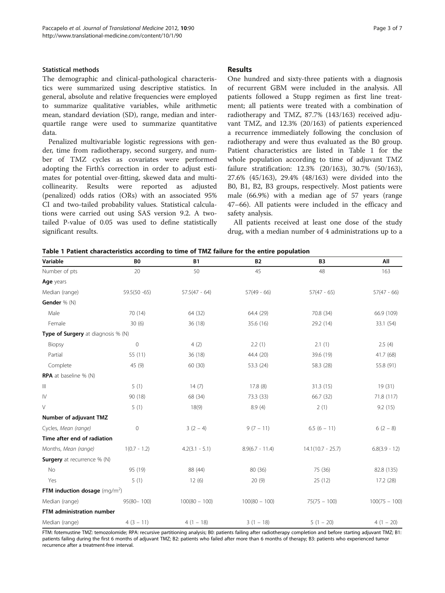#### Statistical methods

The demographic and clinical-pathological characteristics were summarized using descriptive statistics. In general, absolute and relative frequencies were employed to summarize qualitative variables, while arithmetic mean, standard deviation (SD), range, median and interquartile range were used to summarize quantitative data.

Penalized multivariable logistic regressions with gender, time from radiotherapy, second surgery, and number of TMZ cycles as covariates were performed adopting the Firth's correction in order to adjust estimates for potential over-fitting, skewed data and multicollinearity. Results were reported as adjusted (penalized) odds ratios (ORs) with an associated 95% CI and two-tailed probability values. Statistical calculations were carried out using SAS version 9.2. A twotailed P-value of 0.05 was used to define statistically significant results.

### Results

One hundred and sixty-three patients with a diagnosis of recurrent GBM were included in the analysis. All patients followed a Stupp regimen as first line treatment; all patients were treated with a combination of radiotherapy and TMZ, 87.7% (143/163) received adjuvant TMZ, and 12.3% (20/163) of patients experienced a recurrence immediately following the conclusion of radiotherapy and were thus evaluated as the B0 group. Patient characteristics are listed in Table 1 for the whole population according to time of adjuvant TMZ failure stratification: 12.3% (20/163), 30.7% (50/163), 27.6% (45/163), 29.4% (48/163) were divided into the B0, B1, B2, B3 groups, respectively. Most patients were male (66.9%) with a median age of 57 years (range 47–66). All patients were included in the efficacy and safety analysis.

All patients received at least one dose of the study drug, with a median number of 4 administrations up to a

|  |  | Table 1 Patient characteristics according to time of TMZ failure for the entire population |  |  |  |  |  |  |
|--|--|--------------------------------------------------------------------------------------------|--|--|--|--|--|--|
|--|--|--------------------------------------------------------------------------------------------|--|--|--|--|--|--|

| Number of pts                      | 20              | 50               | 45                | 48                  | 163             |
|------------------------------------|-----------------|------------------|-------------------|---------------------|-----------------|
| Age years                          |                 |                  |                   |                     |                 |
| Median (range)                     | $59.5(50 - 65)$ | $57.5(47 - 64)$  | $57(49 - 66)$     | $57(47 - 65)$       | $57(47 - 66)$   |
| Gender % (N)                       |                 |                  |                   |                     |                 |
| Male                               | 70 (14)         | 64 (32)          | 64.4 (29)         | 70.8 (34)           | 66.9 (109)      |
| Female                             | 30(6)           | 36 (18)          | 35.6 (16)         | 29.2 (14)           | 33.1 (54)       |
| Type of Surgery at diagnosis % (N) |                 |                  |                   |                     |                 |
| Biopsy                             | $\mathbf 0$     | 4(2)             | 2.2(1)            | 2.1(1)              | 2.5(4)          |
| Partial                            | 55 (11)         | 36 (18)          | 44.4 (20)         | 39.6 (19)           | 41.7 (68)       |
| Complete                           | 45 (9)          | 60 (30)          | 53.3 (24)         | 58.3 (28)           | 55.8 (91)       |
| <b>RPA</b> at baseline % (N)       |                 |                  |                   |                     |                 |
| $\vert\vert\vert$                  | 5(1)            | 14(7)            | 17.8(8)           | 31.3 (15)           | 19(31)          |
| $\mathsf{IV}$                      | 90 (18)         | 68 (34)          | 73.3 (33)         | 66.7 (32)           | 71.8 (117)      |
| V                                  | 5(1)            | 18(9)            | 8.9(4)            | 2(1)                | 9.2(15)         |
| Number of adjuvant TMZ             |                 |                  |                   |                     |                 |
| Cycles, Mean (range)               | $\mathbf 0$     | $3(2-4)$         | $9(7 - 11)$       | $6.5(6 - 11)$       | $6(2 - 8)$      |
| Time after end of radiation        |                 |                  |                   |                     |                 |
| Months, Mean (range)               | $1(0.7 - 1.2)$  | $4.2(3.1 - 5.1)$ | $8.9(6.7 - 11.4)$ | $14.1(10.7 - 25.7)$ | $6.8(3.9 - 12)$ |
| <b>Surgery</b> at recurrence % (N) |                 |                  |                   |                     |                 |
| No                                 | 95 (19)         | 88 (44)          | 80 (36)           | 75 (36)             | 82.8 (135)      |
| Yes                                | 5(1)            | 12(6)            | 20(9)             | 25 (12)             | 17.2 (28)       |
| FTM induction dosage $(mq/m^2)$    |                 |                  |                   |                     |                 |
| Median (range)                     | $95(80 - 100)$  | $100(80 - 100)$  | $100(80 - 100)$   | $75(75 - 100)$      | $100(75 - 100)$ |
| FTM administration number          |                 |                  |                   |                     |                 |
| Median (range)                     | $4(3 - 11)$     | $4(1 - 18)$      | $3(1 - 18)$       | $5(1 - 20)$         | $4(1 - 20)$     |
|                                    |                 |                  |                   |                     |                 |

Variable B0 B1 B2 B3 All

FTM: fotemustine TMZ: temozolomide; RPA: recursive partitioning analysis; B0: patients failing after radiotherapy completion and before starting adjuvant TMZ; B1: patients failing during the first 6 months of adjuvant TMZ; B2: patients who failed after more than 6 months of therapy; B3: patients who experienced tumor recurrence after a treatment-free interval.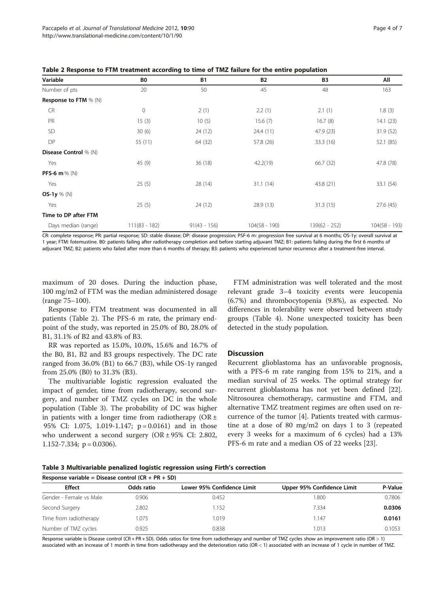| Variable                     | B0              | <b>B1</b>      | <b>B2</b>       | B3              | All             |
|------------------------------|-----------------|----------------|-----------------|-----------------|-----------------|
| Number of pts                | 20              | 50             | 45              | 48              | 163             |
| <b>Response to FTM</b> % (N) |                 |                |                 |                 |                 |
| <b>CR</b>                    | $\mathbf 0$     | 2(1)           | 2.2(1)          | 2.1(1)          | 1.8(3)          |
| PR                           | 15(3)           | 10(5)          | 15.6(7)         | 16.7(8)         | 14.1(23)        |
| <b>SD</b>                    | 30(6)           | 24 (12)        | 24.4 (11)       | 47.9 (23)       | 31.9 (52)       |
| DP                           | 55 (11)         | 64 (32)        | 57.8 (26)       | 33.3 (16)       | 52.1 (85)       |
| <b>Disease Control</b> % (N) |                 |                |                 |                 |                 |
| Yes                          | 45 (9)          | 36(18)         | 42.2(19)        | 66.7 (32)       | 47.8 (78)       |
| PFS-6 m $\%$ (N)             |                 |                |                 |                 |                 |
| Yes                          | 25(5)           | 28 (14)        | 31.1(14)        | 43.8 (21)       | 33.1 (54)       |
| OS-1y $%$ (N)                |                 |                |                 |                 |                 |
| Yes                          | 25(5)           | 24(12)         | 28.9(13)        | 31.3(15)        | 27.6(45)        |
| Time to DP after FTM         |                 |                |                 |                 |                 |
| Days median (range)          | $111(83 - 182)$ | $91(43 - 156)$ | $104(58 - 190)$ | $139(62 - 252)$ | $104(58 - 193)$ |

Table 2 Response to FTM treatment according to time of TMZ failure for the entire population

CR: complete response; PR: partial response; SD: stable disease; DP: disease progression; PSF-6 m: progression free survival at 6 months; OS-1y: overall survival at 1 year; FTM: fotemustine. B0: patients failing after radiotherapy completion and before starting adjuvant TMZ; B1: patients failing during the first 6 months of adjuvant TMZ; B2: patients who failed after more than 6 months of therapy; B3: patients who experienced tumor recurrence after a treatment-free interval.

maximum of 20 doses. During the induction phase, 100 mg/m2 of FTM was the median administered dosage (range 75–100).

Response to FTM treatment was documented in all patients (Table 2). The PFS-6 m rate, the primary endpoint of the study, was reported in 25.0% of B0, 28.0% of B1, 31.1% of B2 and 43.8% of B3.

RR was reported as 15.0%, 10.0%, 15.6% and 16.7% of the B0, B1, B2 and B3 groups respectively. The DC rate ranged from 36.0% (B1) to 66.7 (B3), while OS-1y ranged from 25.0% (B0) to 31.3% (B3).

The multivariable logistic regression evaluated the impact of gender, time from radiotherapy, second surgery, and number of TMZ cycles on DC in the whole population (Table 3). The probability of DC was higher in patients with a longer time from radiotherapy ( $OR \pm$ 95% CI: 1.075, 1.019-1.147; p = 0.0161) and in those who underwent a second surgery ( $OR \pm 95\%$  CI: 2.802, 1.152-7.334;  $p = 0.0306$ .

FTM administration was well tolerated and the most relevant grade 3–4 toxicity events were leucopenia (6.7%) and thrombocytopenia (9.8%), as expected. No differences in tolerability were observed between study groups (Table [4\)](#page-4-0). None unexpected toxicity has been detected in the study population.

#### **Discussion**

Recurrent glioblastoma has an unfavorable prognosis, with a PFS-6 m rate ranging from 15% to 21%, and a median survival of 25 weeks. The optimal strategy for recurrent glioblastoma has not yet been defined [\[22](#page-6-0)]. Nitrosourea chemotherapy, carmustine and FTM, and alternative TMZ treatment regimes are often used on recurrence of the tumor [[4\]](#page-6-0). Patients treated with carmustine at a dose of 80 mg/m2 on days 1 to 3 (repeated every 3 weeks for a maximum of 6 cycles) had a 13% PFS-6 m rate and a median OS of 22 weeks [\[23\]](#page-6-0).

|  | Table 3 Multivariable penalized logistic regression using Firth's correction |  |  |  |  |  |  |
|--|------------------------------------------------------------------------------|--|--|--|--|--|--|
|--|------------------------------------------------------------------------------|--|--|--|--|--|--|

| Response variable = Disease control $(CR + PR + SD)$ |            |                            |                            |         |  |  |  |
|------------------------------------------------------|------------|----------------------------|----------------------------|---------|--|--|--|
| <b>Effect</b>                                        | Odds ratio | Lower 95% Confidence Limit | Upper 95% Confidence Limit | P-Value |  |  |  |
| Gender - Female vs Male                              | 0.906      | 0.452                      | 1.800                      | 0.7806  |  |  |  |
| Second Surgery                                       | 2.802      | 1.152                      | 7.334                      | 0.0306  |  |  |  |
| Time from radiotherapy                               | 1.075      | 1.019                      | 1.147                      | 0.0161  |  |  |  |
| Number of TMZ cycles                                 | 0.925      | 0.838                      | 1.013                      | 0.1053  |  |  |  |

Response variable is Disease control (CR + PR + SD). Odds ratios for time from radiotherapy and number of TMZ cycles show an improvement ratio (OR > 1) associated with an increase of 1 month in time from radiotherapy and the deterioration ratio (OR < 1) associated with an increase of 1 cycle in number of TMZ.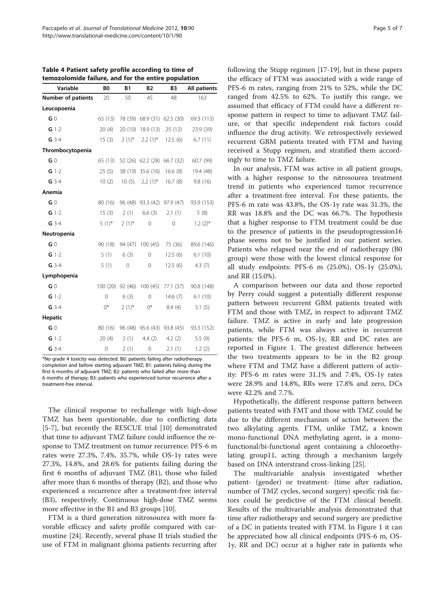| Variable                  | B <sub>0</sub> | B1             | <b>B2</b>                               | B3                | All patients                                      |
|---------------------------|----------------|----------------|-----------------------------------------|-------------------|---------------------------------------------------|
| <b>Number of patients</b> | 20             | 50             | 45                                      | 48                | 163                                               |
| Leucopoenia               |                |                |                                         |                   |                                                   |
| G <sub>0</sub>            | 65 (13)        |                | 78 (39) 68.9 (31) 62.5 (30)             |                   | 69.3 (113)                                        |
| $G$ 1-2                   | 20(4)          |                | 20 (10) 18.9 (13) 25 (12)               |                   | 23.9 (39)                                         |
| $G$ 3-4                   | 15(3)          |                |                                         |                   | $2(1)^{*}$ 2.2 (1) <sup>*</sup> 12.5 (6) 6.7 (11) |
| Thrombocytopenia          |                |                |                                         |                   |                                                   |
| G <sub>0</sub>            | 65 (13)        |                | 52 (26) 62.2 (28) 66.7 (32)             |                   | 60.7 (99)                                         |
| $G$ 1-2                   | 25(5)          |                | 38 (19) 35.6 (16) 16.6 (8)              |                   | 19.4 (48)                                         |
| $G$ 3-4                   | 10(2)          |                | $10(5)$ $2.2(1)$ <sup>*</sup> $16.7(8)$ |                   | 9.8(16)                                           |
| Anemia                    |                |                |                                         |                   |                                                   |
| G <sub>0</sub>            | 80 (16)        |                | 96 (48) 93.3 (42) 97.9 (47)             |                   | 93.9 (153)                                        |
| $G 1-2$                   |                | $15(3)$ $2(1)$ |                                         | $6.6(3)$ $2.1(1)$ | 5(8)                                              |
| $G$ 3-4                   | 5 $(1)^*$      | $2(1)^{*}$     | $\mathbf 0$                             | $\mathbf 0$       | $1.2(2)$ *                                        |
| Neutropenia               |                |                |                                         |                   |                                                   |
| G <sub>0</sub>            | 90 (18)        |                | 94 (47) 100 (45) 75 (36)                |                   | 89.6 (146)                                        |
| $G$ 1-2                   | 5(1)           | 6(3)           | $\overline{0}$                          | 12.5(6)           | 6.1(10)                                           |
| $G$ 3-4                   | 5(1)           | $\mathbf 0$    | 0                                       | 12.5(6)           | 4.3(7)                                            |
| Lymphopenia               |                |                |                                         |                   |                                                   |
| G <sub>0</sub>            |                |                | 100 (20) 92 (46) 100 (45) 77.1 (37)     |                   | 90.8 (148)                                        |
| $G$ 1-2                   | $\mathbf{0}$   | 6(3)           | $\overline{0}$                          | 14.6 $(7)$        | 6.1(10)                                           |
| $G$ 3-4                   | $0^*$          | $2(1)^{*}$     | $0^*$                                   | 8.4(4)            | 3.1(5)                                            |
| Hepatic                   |                |                |                                         |                   |                                                   |
| G <sub>0</sub>            |                |                |                                         |                   | 80 (16) 96 (48) 95.6 (43) 93.8 (45) 93.3 (152)    |
| $G$ 1-2                   | 20(4)          |                | $2(1)$ 4.4 (2) 4.2 (2)                  |                   | 5.5(9)                                            |
| $G$ 3-4                   | $\mathbf 0$    | 2(1)           | 0                                       | 2.1(1)            | 1.2(2)                                            |

<span id="page-4-0"></span>Table 4 Patient safety profile according to time of temozolomide failure, and for the entire population

\*No grade 4 toxicity was detected. B0: patients failing after radiotherapy completion and before starting adjuvant TMZ; B1: patients failing during the first 6 months of adjuvant TMZ; B2: patients who failed after more than 6 months of therapy; B3: patients who experienced tumor recurrence after a treatment-free interval.

The clinical response to rechallenge with high-dose TMZ has been questionable, due to conflicting data [[5-7](#page-6-0)], but recently the RESCUE trial [\[10](#page-6-0)] demonstrated that time to adjuvant TMZ failure could influence the response to TMZ treatment on tumor recurrence: PFS-6 m rates were 27.3%, 7.4%, 35.7%, while OS-1y rates were 27.3%, 14.8%, and 28.6% for patients failing during the first 6 months of adjuvant TMZ (B1), those who failed after more than 6 months of therapy (B2), and those who experienced a recurrence after a treatment-free interval (B3), respectively. Continuous high-dose TMZ seems more effective in the B1 and B3 groups [\[10](#page-6-0)].

FTM is a third generation nitrosourea with more favorable efficacy and safety profile compared with carmustine [[24\]](#page-6-0). Recently, several phase II trials studied the use of FTM in malignant glioma patients recurring after following the Stupp regimen [\[17](#page-6-0)-[19](#page-6-0)], but in these papers the efficacy of FTM was associated with a wide range of PFS-6 m rates, ranging from 21% to 52%, while the DC ranged from 42.5% to 62%. To justify this range, we assumed that efficacy of FTM could have a different response pattern in respect to time to adjuvant TMZ failure, or that specific independent risk factors could influence the drug activity. We retrospectively reviewed recurrent GBM patients treated with FTM and having received a Stupp regimen, and stratified them accordingly to time to TMZ failure.

In our analysis, FTM was active in all patient groups, with a higher response to the nitrosourea treatment trend in patients who experienced tumor recurrence after a treatment-free interval. For these patients, the PFS-6 m rate was 43.8%, the OS-1y rate was 31.3%, the RR was 18.8% and the DC was 66.7%. The hypothesis that a higher response to FTM treatment could be due to the presence of patients in the pseudoprogression16 phase seems not to be justified in our patient series. Patients who relapsed near the end of radiotherapy (B0 group) were those with the lowest clinical response for all study endpoints: PFS-6 m (25.0%), OS-1y (25.0%), and RR (15.0%).

A comparison between our data and those reported by Perry could suggest a potentially different response pattern between recurrent GBM patients treated with FTM and those with TMZ, in respect to adjuvant TMZ failure. TMZ is active in early and late progression patients, while FTM was always active in recurrent patients: the PFS-6 m, OS-1y, RR and DC rates are reported in Figure [1.](#page-5-0) The greatest difference between the two treatments appears to be in the B2 group where FTM and TMZ have a different pattern of activity: PFS-6 m rates were 31.1% and 7.4%, OS-1y rates were 28.9% and 14.8%, RRs were 17.8% and zero, DCs were 42.2% and 7.7%.

Hypothetically, the different response pattern between patients treated with FMT and those with TMZ could be due to the different mechanism of action between the two alkylating agents. FTM, unlike TMZ, a known mono-functional DNA methylating agent, is a monofunctional/bi-functional agent containing a chloroethylating group11, acting through a mechanism largely based on DNA interstrand cross-linking [\[25](#page-6-0)].

The multivariable analysis investigated whether patient- (gender) or treatment- (time after radiation, number of TMZ cycles, second surgery) specific risk factors could be predictive of the FTM clinical benefit. Results of the multivariable analysis demonstrated that time after radiotherapy and second surgery are predictive of a DC in patients treated with FTM. In Figure [1](#page-5-0) it can be appreciated how all clinical endpoints (PFS-6 m, OS-1y, RR and DC) occur at a higher rate in patients who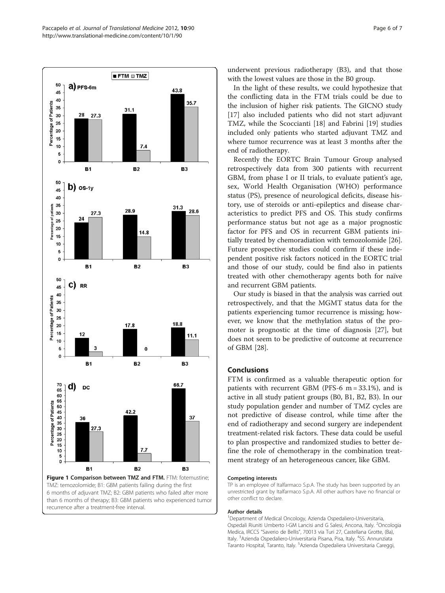<span id="page-5-0"></span>

recurrence after a treatment-free interval.

underwent previous radiotherapy (B3), and that those with the lowest values are those in the B0 group.

In the light of these results, we could hypothesize that the conflicting data in the FTM trials could be due to the inclusion of higher risk patients. The GICNO study [[17\]](#page-6-0) also included patients who did not start adjuvant TMZ, while the Scoccianti [[18\]](#page-6-0) and Fabrini [[19](#page-6-0)] studies included only patients who started adjuvant TMZ and where tumor recurrence was at least 3 months after the end of radiotherapy.

Recently the EORTC Brain Tumour Group analysed retrospectively data from 300 patients with recurrent GBM, from phase I or II trials, to evaluate patient's age, sex, World Health Organisation (WHO) performance status (PS), presence of neurological deficits, disease history, use of steroids or anti-epileptics and disease characteristics to predict PFS and OS. This study confirms performance status but not age as a major prognostic factor for PFS and OS in recurrent GBM patients initially treated by chemoradiation with temozolomide [\[26](#page-6-0)]. Future prospective studies could confirm if these independent positive risk factors noticed in the EORTC trial and those of our study, could be find also in patients treated with other chemotherapy agents both for naïve and recurrent GBM patients.

Our study is biased in that the analysis was carried out retrospectively, and that the MGMT status data for the patients experiencing tumor recurrence is missing; however, we know that the methylation status of the promoter is prognostic at the time of diagnosis [[27\]](#page-6-0), but does not seem to be predictive of outcome at recurrence of GBM [[28\]](#page-6-0).

# Conclusions

FTM is confirmed as a valuable therapeutic option for patients with recurrent GBM (PFS-6  $m = 33.1\%$ ), and is active in all study patient groups (B0, B1, B2, B3). In our study population gender and number of TMZ cycles are not predictive of disease control, while time after the end of radiotherapy and second surgery are independent treatment-related risk factors. These data could be useful to plan prospective and randomized studies to better define the role of chemotherapy in the combination treatment strategy of an heterogeneous cancer, like GBM.

#### Competing interests

TP is an employee of Italfarmaco S.p.A. The study has been supported by an unrestricted grant by Italfarmaco S.p.A. All other authors have no financial or other conflict to declare.

#### Author details

1 Department of Medical Oncology, Azienda Ospedaliero-Universitaria, Ospedali Riuniti Umberto I-GM Lancisi and G Salesi, Ancona, Italy. <sup>2</sup>Oncologia Medica, IRCCS "Saverio de Bellis", 70013 via Turi 27, Castellana Grotte, (Ba), Italy. <sup>3</sup>Azienda Ospedaliero-Universitaria Pisana, Pisa, Italy. <sup>4</sup>SS. Annunziata Taranto Hospital, Taranto, Italy. <sup>5</sup>Azienda Ospedaliera Universitaria Careggi,